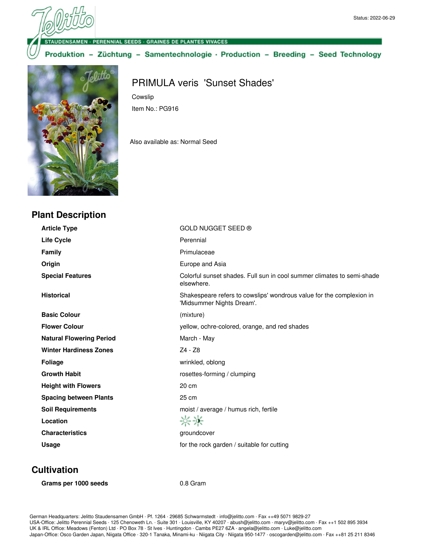SAMEN · PERENNIAL SEEDS · GRAINES DE PLANTES VIVACES

Cowslip

Item No.: PG916

Also available as: Normal Seed

Produktion - Züchtung - Samentechnologie · Production - Breeding - Seed Technology

PRIMULA veris 'Sunset Shades'



## **Plant Description**

**Article Type** GOLD NUGGET SEED ® Life Cycle **Cycle Perennial Family Primulaceae Origin** Europe and Asia **Special Features** Colorful sunset shades. Full sun in cool summer climates to semi-shade elsewhere. **Historical** Shakespeare refers to cowslips' wondrous value for the complexion in 'Midsummer Nights Dream'. **Basic Colour** (mixture) **Flower Colour** yellow, ochre-colored, orange, and red shades **Natural Flowering Period** March - May Winter Hardiness Zones<br>
Z4 - Z8 **Foliage** wrinkled, oblong **Growth Habit rosettes-forming / clumping Height with Flowers** 20 cm **Spacing between Plants** 25 cm **Soil Requirements noist** / average / humus rich, fertile  $\frac{1}{2}$ **Location Characteristics Groundcover groundcover** 

**Usage for the rock garden / suitable for cutting** 

**Cultivation**

Grams per 1000 seeds 0.8 Gram